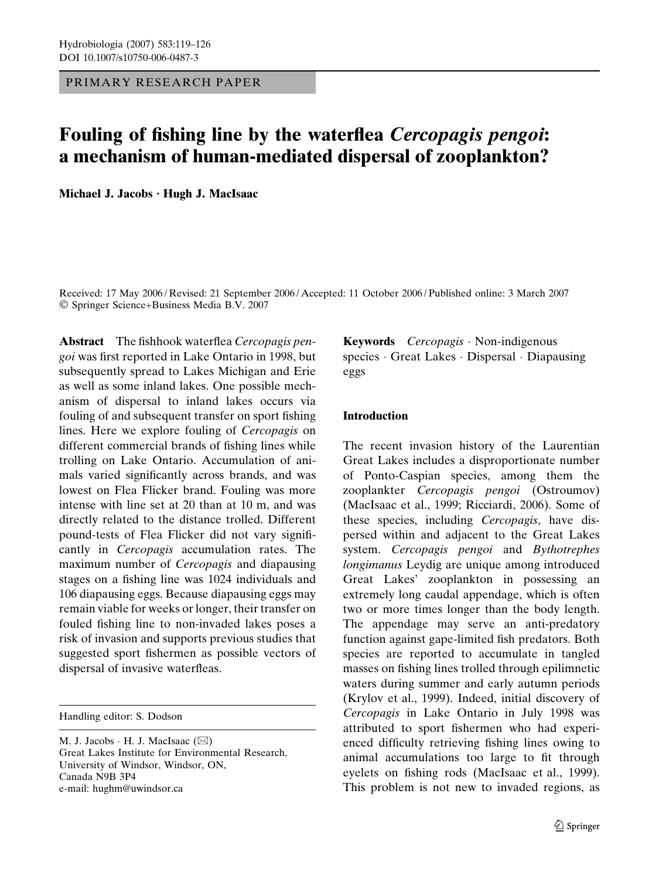PRIMARY RESEARCH PAPER

# Fouling of fishing line by the waterflea Cercopagis pengoi: a mechanism of human-mediated dispersal of zooplankton?

Michael J. Jacobs  $\cdot$  Hugh J. MacIsaac

Received: 17 May 2006 / Revised: 21 September 2006 / Accepted: 11 October 2006 / Published online: 3 March 2007 Springer Science+Business Media B.V. 2007

Abstract The fishhook waterflea Cercopagis pengoi was first reported in Lake Ontario in 1998, but subsequently spread to Lakes Michigan and Erie as well as some inland lakes. One possible mechanism of dispersal to inland lakes occurs via fouling of and subsequent transfer on sport fishing lines. Here we explore fouling of Cercopagis on different commercial brands of fishing lines while trolling on Lake Ontario. Accumulation of animals varied significantly across brands, and was lowest on Flea Flicker brand. Fouling was more intense with line set at 20 than at 10 m, and was directly related to the distance trolled. Different pound-tests of Flea Flicker did not vary significantly in Cercopagis accumulation rates. The maximum number of Cercopagis and diapausing stages on a fishing line was 1024 individuals and 106 diapausing eggs. Because diapausing eggs may remain viable for weeks or longer, their transfer on fouled fishing line to non-invaded lakes poses a risk of invasion and supports previous studies that suggested sport fishermen as possible vectors of dispersal of invasive waterfleas.

Handling editor: S. Dodson

M. J. Jacobs  $\cdot$  H. J. MacIsaac ( $\boxtimes$ ) Great Lakes Institute for Environmental Research, University of Windsor, Windsor, ON, Canada N9B 3P4 e-mail: hughm@uwindsor.ca

Keywords Cercopagis · Non-indigenous species · Great Lakes · Dispersal · Diapausing eggs

## Introduction

The recent invasion history of the Laurentian Great Lakes includes a disproportionate number of Ponto-Caspian species, among them the zooplankter Cercopagis pengoi (Ostroumov) (MacIsaac et al., 1999; Ricciardi, 2006). Some of these species, including Cercopagis, have dispersed within and adjacent to the Great Lakes system. Cercopagis pengoi and Bythotrephes longimanus Leydig are unique among introduced Great Lakes' zooplankton in possessing an extremely long caudal appendage, which is often two or more times longer than the body length. The appendage may serve an anti-predatory function against gape-limited fish predators. Both species are reported to accumulate in tangled masses on fishing lines trolled through epilimnetic waters during summer and early autumn periods (Krylov et al., 1999). Indeed, initial discovery of Cercopagis in Lake Ontario in July 1998 was attributed to sport fishermen who had experienced difficulty retrieving fishing lines owing to animal accumulations too large to fit through eyelets on fishing rods (MacIsaac et al., 1999). This problem is not new to invaded regions, as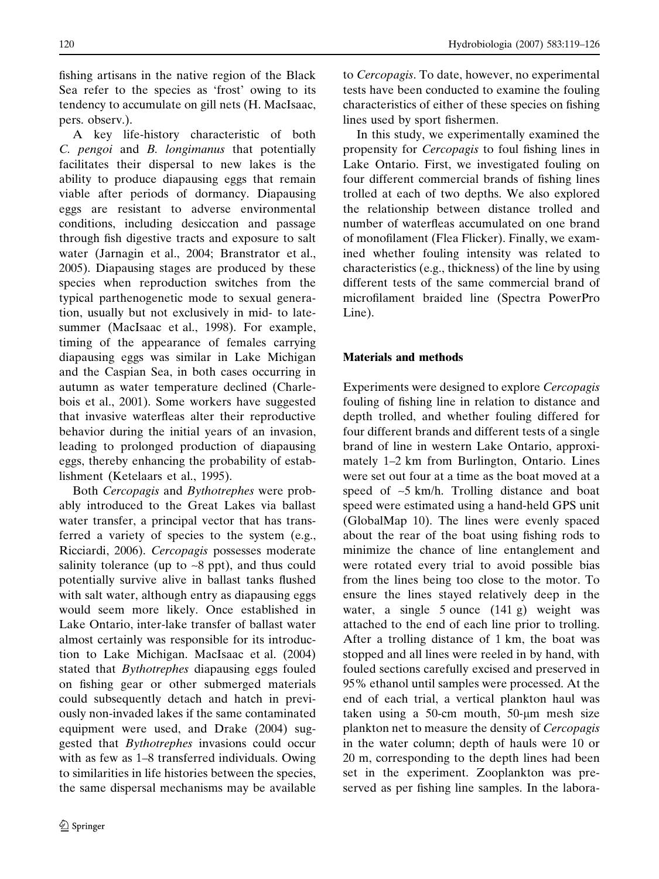fishing artisans in the native region of the Black Sea refer to the species as 'frost' owing to its tendency to accumulate on gill nets (H. MacIsaac, pers. observ.).

A key life-history characteristic of both C. pengoi and B. longimanus that potentially facilitates their dispersal to new lakes is the ability to produce diapausing eggs that remain viable after periods of dormancy. Diapausing eggs are resistant to adverse environmental conditions, including desiccation and passage through fish digestive tracts and exposure to salt water (Jarnagin et al., 2004; Branstrator et al., 2005). Diapausing stages are produced by these species when reproduction switches from the typical parthenogenetic mode to sexual generation, usually but not exclusively in mid- to latesummer (MacIsaac et al., 1998). For example, timing of the appearance of females carrying diapausing eggs was similar in Lake Michigan and the Caspian Sea, in both cases occurring in autumn as water temperature declined (Charlebois et al., 2001). Some workers have suggested that invasive waterfleas alter their reproductive behavior during the initial years of an invasion, leading to prolonged production of diapausing eggs, thereby enhancing the probability of establishment (Ketelaars et al., 1995).

Both Cercopagis and Bythotrephes were probably introduced to the Great Lakes via ballast water transfer, a principal vector that has transferred a variety of species to the system (e.g., Ricciardi, 2006). Cercopagis possesses moderate salinity tolerance (up to  $\sim$ 8 ppt), and thus could potentially survive alive in ballast tanks flushed with salt water, although entry as diapausing eggs would seem more likely. Once established in Lake Ontario, inter-lake transfer of ballast water almost certainly was responsible for its introduction to Lake Michigan. MacIsaac et al. (2004) stated that Bythotrephes diapausing eggs fouled on fishing gear or other submerged materials could subsequently detach and hatch in previously non-invaded lakes if the same contaminated equipment were used, and Drake (2004) suggested that Bythotrephes invasions could occur with as few as 1–8 transferred individuals. Owing to similarities in life histories between the species, the same dispersal mechanisms may be available

to Cercopagis. To date, however, no experimental tests have been conducted to examine the fouling characteristics of either of these species on fishing lines used by sport fishermen.

In this study, we experimentally examined the propensity for Cercopagis to foul fishing lines in Lake Ontario. First, we investigated fouling on four different commercial brands of fishing lines trolled at each of two depths. We also explored the relationship between distance trolled and number of waterfleas accumulated on one brand of monofilament (Flea Flicker). Finally, we examined whether fouling intensity was related to characteristics (e.g., thickness) of the line by using different tests of the same commercial brand of microfilament braided line (Spectra PowerPro Line).

## Materials and methods

Experiments were designed to explore Cercopagis fouling of fishing line in relation to distance and depth trolled, and whether fouling differed for four different brands and different tests of a single brand of line in western Lake Ontario, approximately 1–2 km from Burlington, Ontario. Lines were set out four at a time as the boat moved at a speed of  $\sim$ 5 km/h. Trolling distance and boat speed were estimated using a hand-held GPS unit (GlobalMap 10). The lines were evenly spaced about the rear of the boat using fishing rods to minimize the chance of line entanglement and were rotated every trial to avoid possible bias from the lines being too close to the motor. To ensure the lines stayed relatively deep in the water, a single 5 ounce (141 g) weight was attached to the end of each line prior to trolling. After a trolling distance of 1 km, the boat was stopped and all lines were reeled in by hand, with fouled sections carefully excised and preserved in 95% ethanol until samples were processed. At the end of each trial, a vertical plankton haul was taken using a  $50$ -cm mouth,  $50$ - $\mu$ m mesh size plankton net to measure the density of Cercopagis in the water column; depth of hauls were 10 or 20 m, corresponding to the depth lines had been set in the experiment. Zooplankton was preserved as per fishing line samples. In the labora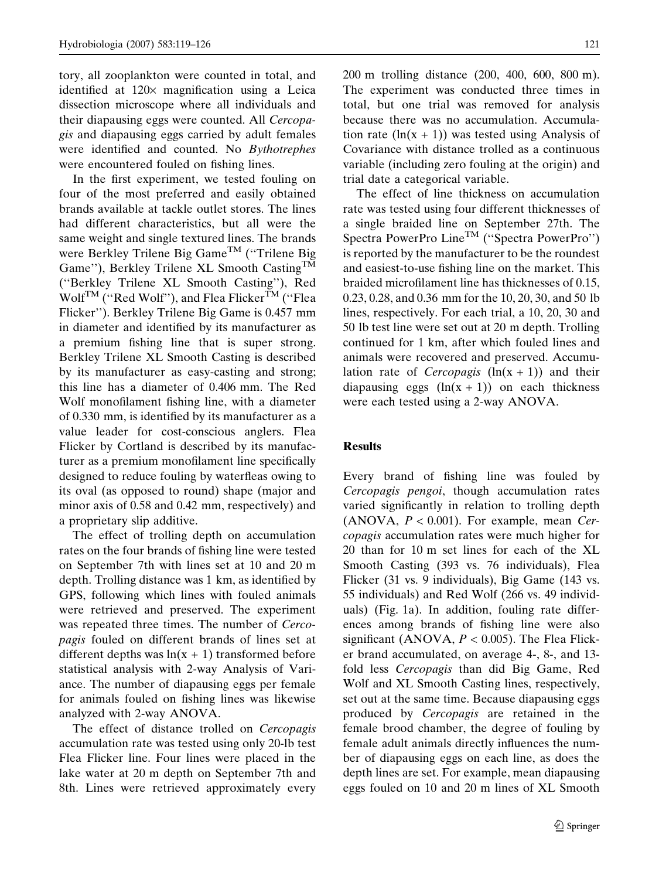tory, all zooplankton were counted in total, and identified at  $120\times$  magnification using a Leica dissection microscope where all individuals and their diapausing eggs were counted. All Cercopagis and diapausing eggs carried by adult females were identified and counted. No Bythotrephes were encountered fouled on fishing lines.

In the first experiment, we tested fouling on four of the most preferred and easily obtained brands available at tackle outlet stores. The lines had different characteristics, but all were the same weight and single textured lines. The brands were Berkley Trilene Big Game<sup>TM</sup> ("Trilene Big Game"), Berkley Trilene XL Smooth Casting<sup>TM</sup> (''Berkley Trilene XL Smooth Casting''), Red  $Wolf<sup>TM</sup>$  ("Red Wolf"), and Flea Flicker<sup>TM</sup> ("Flea Flicker''). Berkley Trilene Big Game is 0.457 mm in diameter and identified by its manufacturer as a premium fishing line that is super strong. Berkley Trilene XL Smooth Casting is described by its manufacturer as easy-casting and strong; this line has a diameter of 0.406 mm. The Red Wolf monofilament fishing line, with a diameter of 0.330 mm, is identified by its manufacturer as a value leader for cost-conscious anglers. Flea Flicker by Cortland is described by its manufacturer as a premium monofilament line specifically designed to reduce fouling by waterfleas owing to its oval (as opposed to round) shape (major and minor axis of 0.58 and 0.42 mm, respectively) and a proprietary slip additive.

The effect of trolling depth on accumulation rates on the four brands of fishing line were tested on September 7th with lines set at 10 and 20 m depth. Trolling distance was 1 km, as identified by GPS, following which lines with fouled animals were retrieved and preserved. The experiment was repeated three times. The number of Cercopagis fouled on different brands of lines set at different depths was  $ln(x + 1)$  transformed before statistical analysis with 2-way Analysis of Variance. The number of diapausing eggs per female for animals fouled on fishing lines was likewise analyzed with 2-way ANOVA.

The effect of distance trolled on Cercopagis accumulation rate was tested using only 20-lb test Flea Flicker line. Four lines were placed in the lake water at 20 m depth on September 7th and 8th. Lines were retrieved approximately every 200 m trolling distance (200, 400, 600, 800 m). The experiment was conducted three times in total, but one trial was removed for analysis because there was no accumulation. Accumulation rate  $(ln(x + 1))$  was tested using Analysis of Covariance with distance trolled as a continuous variable (including zero fouling at the origin) and trial date a categorical variable.

The effect of line thickness on accumulation rate was tested using four different thicknesses of a single braided line on September 27th. The Spectra PowerPro LineTM (''Spectra PowerPro'') is reported by the manufacturer to be the roundest and easiest-to-use fishing line on the market. This braided microfilament line has thicknesses of 0.15, 0.23, 0.28, and 0.36 mm for the 10, 20, 30, and 50 lb lines, respectively. For each trial, a 10, 20, 30 and 50 lb test line were set out at 20 m depth. Trolling continued for 1 km, after which fouled lines and animals were recovered and preserved. Accumulation rate of *Cercopagis*  $(ln(x + 1))$  and their diapausing eggs  $(ln(x + 1))$  on each thickness were each tested using a 2-way ANOVA.

## **Results**

Every brand of fishing line was fouled by Cercopagis pengoi, though accumulation rates varied significantly in relation to trolling depth (ANOVA,  $P < 0.001$ ). For example, mean Cercopagis accumulation rates were much higher for 20 than for 10 m set lines for each of the XL Smooth Casting (393 vs. 76 individuals), Flea Flicker (31 vs. 9 individuals), Big Game (143 vs. 55 individuals) and Red Wolf (266 vs. 49 individuals) (Fig. 1a). In addition, fouling rate differences among brands of fishing line were also significant (ANOVA,  $P < 0.005$ ). The Flea Flicker brand accumulated, on average 4-, 8-, and 13 fold less Cercopagis than did Big Game, Red Wolf and XL Smooth Casting lines, respectively, set out at the same time. Because diapausing eggs produced by Cercopagis are retained in the female brood chamber, the degree of fouling by female adult animals directly influences the number of diapausing eggs on each line, as does the depth lines are set. For example, mean diapausing eggs fouled on 10 and 20 m lines of XL Smooth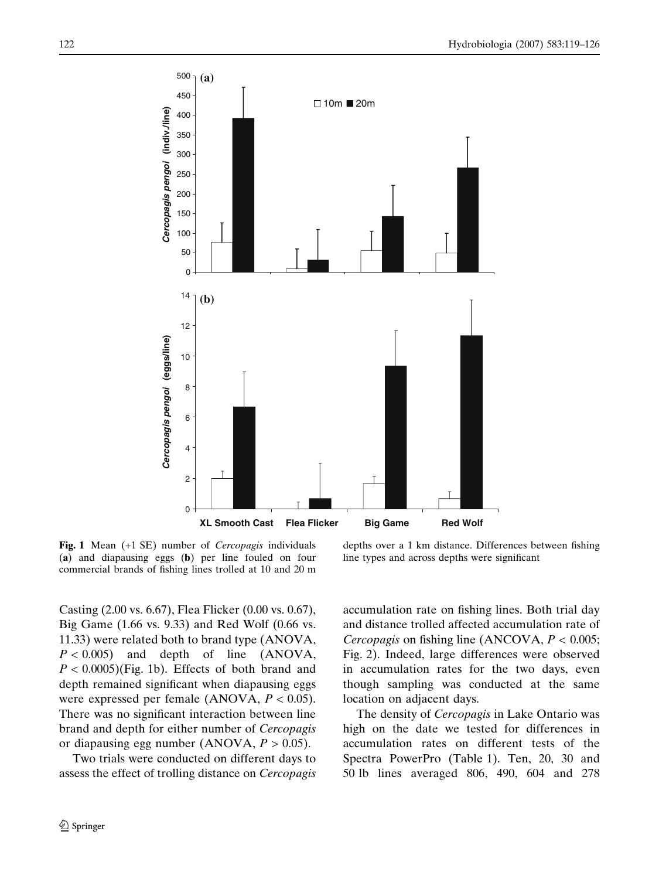

Fig. 1 Mean (+1 SE) number of Cercopagis individuals (a) and diapausing eggs (b) per line fouled on four commercial brands of fishing lines trolled at 10 and 20 m

Casting (2.00 vs. 6.67), Flea Flicker (0.00 vs. 0.67), Big Game (1.66 vs. 9.33) and Red Wolf (0.66 vs. 11.33) were related both to brand type (ANOVA,  $P < 0.005$ ) and depth of line (ANOVA,  $P < 0.0005$ )(Fig. 1b). Effects of both brand and depth remained significant when diapausing eggs were expressed per female (ANOVA,  $P < 0.05$ ). There was no significant interaction between line brand and depth for either number of Cercopagis or diapausing egg number (ANOVA,  $P > 0.05$ ).

Two trials were conducted on different days to assess the effect of trolling distance on Cercopagis

depths over a 1 km distance. Differences between fishing line types and across depths were significant

accumulation rate on fishing lines. Both trial day and distance trolled affected accumulation rate of *Cercopagis* on fishing line (ANCOVA,  $P < 0.005$ ; Fig. 2). Indeed, large differences were observed in accumulation rates for the two days, even though sampling was conducted at the same location on adjacent days.

The density of Cercopagis in Lake Ontario was high on the date we tested for differences in accumulation rates on different tests of the Spectra PowerPro (Table 1). Ten, 20, 30 and 50 lb lines averaged 806, 490, 604 and 278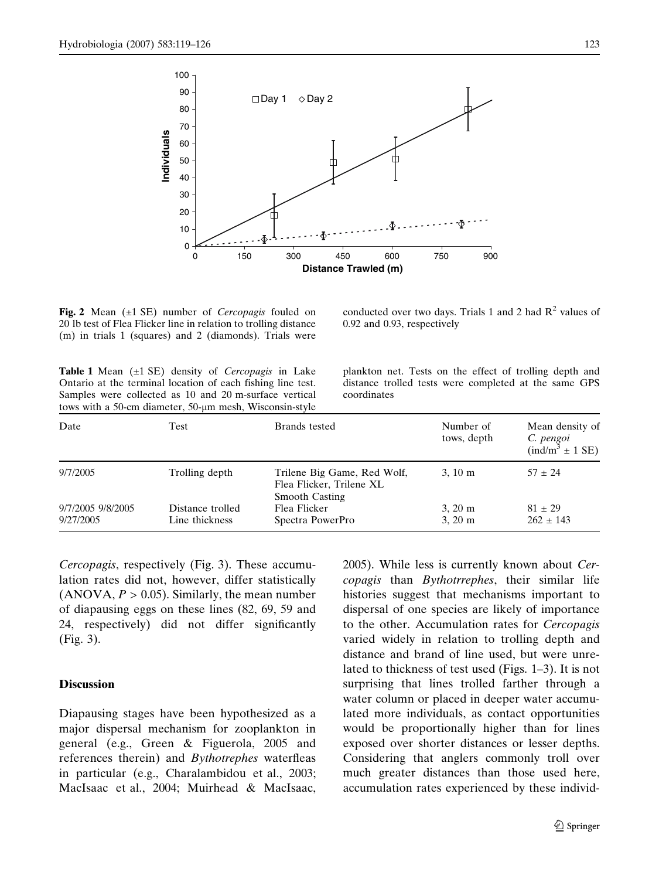

Fig. 2 Mean  $(\pm 1 \text{ SE})$  number of *Cercopagis* fouled on 20 lb test of Flea Flicker line in relation to trolling distance (m) in trials 1 (squares) and 2 (diamonds). Trials were

conducted over two days. Trials 1 and 2 had  $\mathbb{R}^2$  values of 0.92 and 0.93, respectively

**Table 1** Mean  $(\pm 1 \text{ SE})$  density of *Cercopagis* in Lake Ontario at the terminal location of each fishing line test. Samples were collected as 10 and 20 m-surface vertical tows with a 50-cm diameter, 50-µm mesh, Wisconsin-style plankton net. Tests on the effect of trolling depth and distance trolled tests were completed at the same GPS coordinates

| Date                           | Test                               | Brands tested                                                             | Number of<br>tows, depth               | Mean density of<br>C. pengoi<br>$\left(\text{ind/m}^3 \pm 1 \text{ SE}\right)$ |
|--------------------------------|------------------------------------|---------------------------------------------------------------------------|----------------------------------------|--------------------------------------------------------------------------------|
| 9/7/2005                       | Trolling depth                     | Trilene Big Game, Red Wolf,<br>Flea Flicker, Trilene XL<br>Smooth Casting | $3.10 \text{ m}$                       | $57 \pm 24$                                                                    |
| 9/7/2005 9/8/2005<br>9/27/2005 | Distance trolled<br>Line thickness | Flea Flicker<br>Spectra PowerPro                                          | $3, 20 \text{ m}$<br>$3, 20 \text{ m}$ | $81 + 29$<br>$262 \pm 143$                                                     |

Cercopagis, respectively (Fig. 3). These accumulation rates did not, however, differ statistically  $(ANOVA, P > 0.05)$ . Similarly, the mean number of diapausing eggs on these lines (82, 69, 59 and 24, respectively) did not differ significantly (Fig. 3).

#### Discussion

Diapausing stages have been hypothesized as a major dispersal mechanism for zooplankton in general (e.g., Green & Figuerola, 2005 and references therein) and Bythotrephes waterfleas in particular (e.g., Charalambidou et al., 2003; MacIsaac et al., 2004; Muirhead & MacIsaac, 2005). While less is currently known about Cercopagis than Bythotrrephes, their similar life histories suggest that mechanisms important to dispersal of one species are likely of importance to the other. Accumulation rates for Cercopagis varied widely in relation to trolling depth and distance and brand of line used, but were unrelated to thickness of test used (Figs. 1–3). It is not surprising that lines trolled farther through a water column or placed in deeper water accumulated more individuals, as contact opportunities would be proportionally higher than for lines exposed over shorter distances or lesser depths. Considering that anglers commonly troll over much greater distances than those used here, accumulation rates experienced by these individ-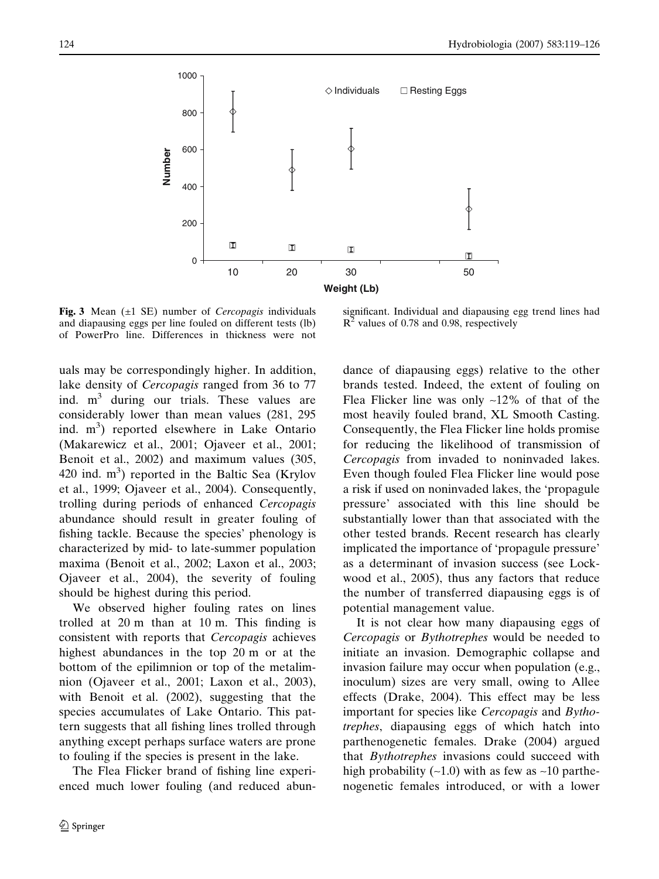

Fig. 3 Mean  $(\pm 1$  SE) number of *Cercopagis* individuals and diapausing eggs per line fouled on different tests (lb) of PowerPro line. Differences in thickness were not

uals may be correspondingly higher. In addition, lake density of Cercopagis ranged from 36 to 77 ind.  $m<sup>3</sup>$  during our trials. These values are considerably lower than mean values (281, 295 ind. m<sup>3</sup>) reported elsewhere in Lake Ontario (Makarewicz et al., 2001; Ojaveer et al., 2001; Benoit et al., 2002) and maximum values (305,  $420$  ind.  $m<sup>3</sup>$ ) reported in the Baltic Sea (Krylov et al., 1999; Ojaveer et al., 2004). Consequently, trolling during periods of enhanced Cercopagis abundance should result in greater fouling of fishing tackle. Because the species' phenology is characterized by mid- to late-summer population maxima (Benoit et al., 2002; Laxon et al., 2003; Ojaveer et al., 2004), the severity of fouling should be highest during this period.

We observed higher fouling rates on lines trolled at 20 m than at 10 m. This finding is consistent with reports that Cercopagis achieves highest abundances in the top 20 m or at the bottom of the epilimnion or top of the metalimnion (Ojaveer et al., 2001; Laxon et al., 2003), with Benoit et al. (2002), suggesting that the species accumulates of Lake Ontario. This pattern suggests that all fishing lines trolled through anything except perhaps surface waters are prone to fouling if the species is present in the lake.

The Flea Flicker brand of fishing line experienced much lower fouling (and reduced abun-

significant. Individual and diapausing egg trend lines had  $R<sup>2</sup>$  values of 0.78 and 0.98, respectively

dance of diapausing eggs) relative to the other brands tested. Indeed, the extent of fouling on Flea Flicker line was only ~12% of that of the most heavily fouled brand, XL Smooth Casting. Consequently, the Flea Flicker line holds promise for reducing the likelihood of transmission of Cercopagis from invaded to noninvaded lakes. Even though fouled Flea Flicker line would pose a risk if used on noninvaded lakes, the 'propagule pressure' associated with this line should be substantially lower than that associated with the other tested brands. Recent research has clearly implicated the importance of 'propagule pressure' as a determinant of invasion success (see Lockwood et al., 2005), thus any factors that reduce the number of transferred diapausing eggs is of potential management value.

It is not clear how many diapausing eggs of Cercopagis or Bythotrephes would be needed to initiate an invasion. Demographic collapse and invasion failure may occur when population (e.g., inoculum) sizes are very small, owing to Allee effects (Drake, 2004). This effect may be less important for species like Cercopagis and Bythotrephes, diapausing eggs of which hatch into parthenogenetic females. Drake (2004) argued that Bythotrephes invasions could succeed with high probability  $(-1.0)$  with as few as  $-10$  parthenogenetic females introduced, or with a lower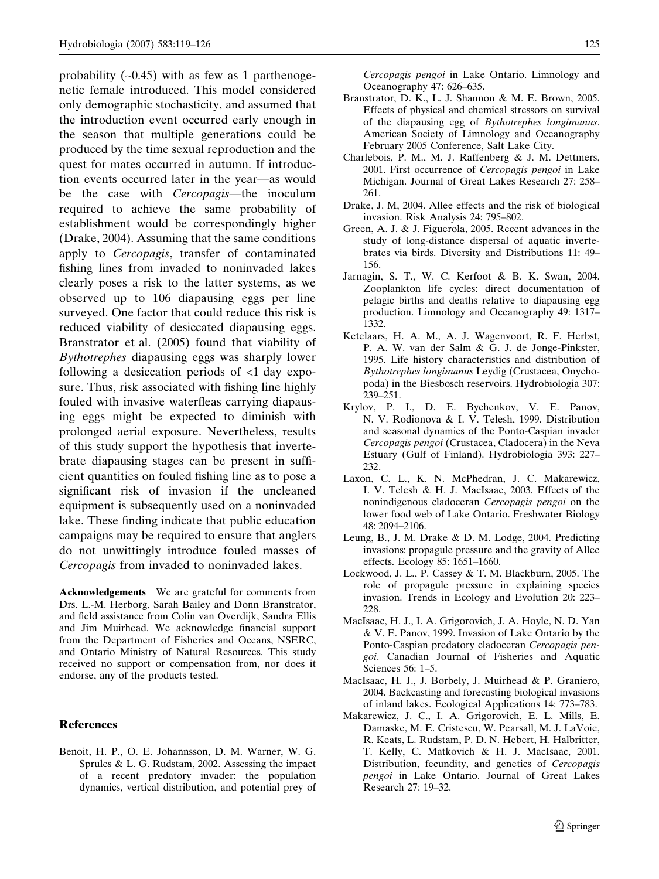probability  $(-0.45)$  with as few as 1 parthenogenetic female introduced. This model considered only demographic stochasticity, and assumed that the introduction event occurred early enough in the season that multiple generations could be produced by the time sexual reproduction and the quest for mates occurred in autumn. If introduction events occurred later in the year—as would be the case with *Cercopagis*—the inoculum required to achieve the same probability of establishment would be correspondingly higher (Drake, 2004). Assuming that the same conditions apply to Cercopagis, transfer of contaminated fishing lines from invaded to noninvaded lakes clearly poses a risk to the latter systems, as we observed up to 106 diapausing eggs per line surveyed. One factor that could reduce this risk is reduced viability of desiccated diapausing eggs. Branstrator et al. (2005) found that viability of Bythotrephes diapausing eggs was sharply lower following a desiccation periods of <1 day exposure. Thus, risk associated with fishing line highly fouled with invasive waterfleas carrying diapausing eggs might be expected to diminish with prolonged aerial exposure. Nevertheless, results of this study support the hypothesis that invertebrate diapausing stages can be present in sufficient quantities on fouled fishing line as to pose a significant risk of invasion if the uncleaned equipment is subsequently used on a noninvaded lake. These finding indicate that public education campaigns may be required to ensure that anglers do not unwittingly introduce fouled masses of Cercopagis from invaded to noninvaded lakes.

Acknowledgements We are grateful for comments from Drs. L.-M. Herborg, Sarah Bailey and Donn Branstrator, and field assistance from Colin van Overdijk, Sandra Ellis and Jim Muirhead. We acknowledge financial support from the Department of Fisheries and Oceans, NSERC, and Ontario Ministry of Natural Resources. This study received no support or compensation from, nor does it endorse, any of the products tested.

#### References

Benoit, H. P., O. E. Johannsson, D. M. Warner, W. G. Sprules & L. G. Rudstam, 2002. Assessing the impact of a recent predatory invader: the population dynamics, vertical distribution, and potential prey of Cercopagis pengoi in Lake Ontario. Limnology and Oceanography 47: 626–635.

- Branstrator, D. K., L. J. Shannon & M. E. Brown, 2005. Effects of physical and chemical stressors on survival of the diapausing egg of Bythotrephes longimanus. American Society of Limnology and Oceanography February 2005 Conference, Salt Lake City.
- Charlebois, P. M., M. J. Raffenberg & J. M. Dettmers, 2001. First occurrence of Cercopagis pengoi in Lake Michigan. Journal of Great Lakes Research 27: 258– 261.
- Drake, J. M, 2004. Allee effects and the risk of biological invasion. Risk Analysis 24: 795–802.
- Green, A. J. & J. Figuerola, 2005. Recent advances in the study of long-distance dispersal of aquatic invertebrates via birds. Diversity and Distributions 11: 49– 156.
- Jarnagin, S. T., W. C. Kerfoot & B. K. Swan, 2004. Zooplankton life cycles: direct documentation of pelagic births and deaths relative to diapausing egg production. Limnology and Oceanography 49: 1317– 1332.
- Ketelaars, H. A. M., A. J. Wagenvoort, R. F. Herbst, P. A. W. van der Salm & G. J. de Jonge-Pinkster, 1995. Life history characteristics and distribution of Bythotrephes longimanus Leydig (Crustacea, Onychopoda) in the Biesbosch reservoirs. Hydrobiologia 307: 239–251.
- Krylov, P. I., D. E. Bychenkov, V. E. Panov, N. V. Rodionova & I. V. Telesh, 1999. Distribution and seasonal dynamics of the Ponto-Caspian invader Cercopagis pengoi (Crustacea, Cladocera) in the Neva Estuary (Gulf of Finland). Hydrobiologia 393: 227– 232.
- Laxon, C. L., K. N. McPhedran, J. C. Makarewicz, I. V. Telesh & H. J. MacIsaac, 2003. Effects of the nonindigenous cladoceran Cercopagis pengoi on the lower food web of Lake Ontario. Freshwater Biology 48: 2094–2106.
- Leung, B., J. M. Drake & D. M. Lodge, 2004. Predicting invasions: propagule pressure and the gravity of Allee effects. Ecology 85: 1651–1660.
- Lockwood, J. L., P. Cassey & T. M. Blackburn, 2005. The role of propagule pressure in explaining species invasion. Trends in Ecology and Evolution 20: 223– 228.
- MacIsaac, H. J., I. A. Grigorovich, J. A. Hoyle, N. D. Yan & V. E. Panov, 1999. Invasion of Lake Ontario by the Ponto-Caspian predatory cladoceran Cercopagis pengoi. Canadian Journal of Fisheries and Aquatic Sciences 56: 1–5.
- MacIsaac, H. J., J. Borbely, J. Muirhead & P. Graniero, 2004. Backcasting and forecasting biological invasions of inland lakes. Ecological Applications 14: 773–783.
- Makarewicz, J. C., I. A. Grigorovich, E. L. Mills, E. Damaske, M. E. Cristescu, W. Pearsall, M. J. LaVoie, R. Keats, L. Rudstam, P. D. N. Hebert, H. Halbritter, T. Kelly, C. Matkovich & H. J. MacIsaac, 2001. Distribution, fecundity, and genetics of Cercopagis pengoi in Lake Ontario. Journal of Great Lakes Research 27: 19–32.